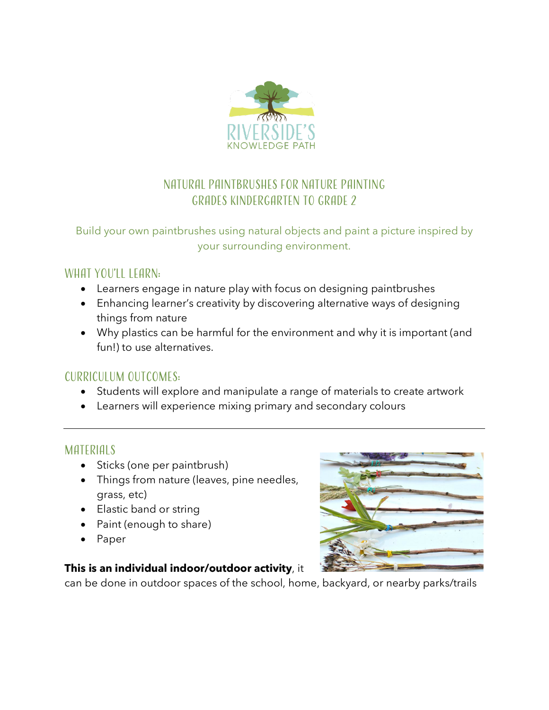

# Natural paintbrushes for nature painting Grades Kindergarten to Grade 2

### Build your own paintbrushes using natural objects and paint a picture inspired by your surrounding environment.

## WHAT YOU'LL LEARN:

- Learners engage in nature play with focus on designing paintbrushes
- Enhancing learner's creativity by discovering alternative ways of designing things from nature
- Why plastics can be harmful for the environment and why it is important (and fun!) to use alternatives.

### Curriculum Outcomes:

- Students will explore and manipulate a range of materials to create artwork
- Learners will experience mixing primary and secondary colours

## MATERIAI S

- Sticks (one per paintbrush)
- Things from nature (leaves, pine needles, grass, etc)
- Elastic band or string
- Paint (enough to share)
- Paper

### **This is an individual indoor/outdoor activity**, it

can be done in outdoor spaces of the school, home, backyard, or nearby parks/trails